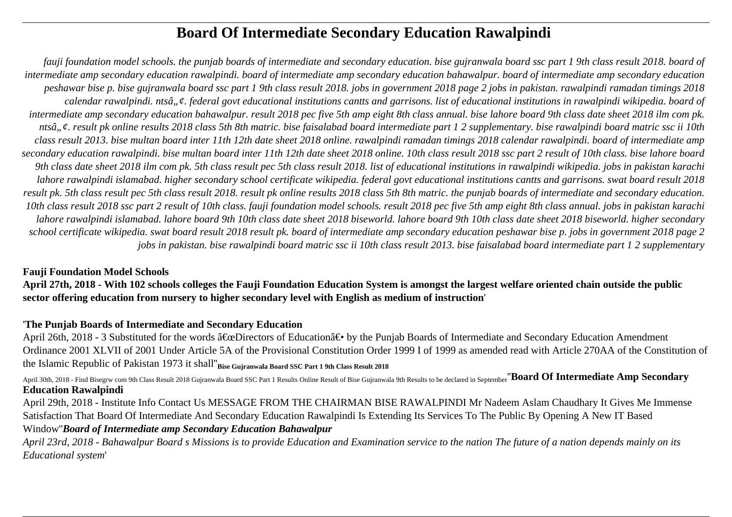# **Board Of Intermediate Secondary Education Rawalpindi**

*fauji foundation model schools. the punjab boards of intermediate and secondary education. bise gujranwala board ssc part 1 9th class result 2018. board of intermediate amp secondary education rawalpindi. board of intermediate amp secondary education bahawalpur. board of intermediate amp secondary education peshawar bise p. bise gujranwala board ssc part 1 9th class result 2018. jobs in government 2018 page 2 jobs in pakistan. rawalpindi ramadan timings 2018 calendar rawalpindi. ntsâ"¢. federal govt educational institutions cantts and garrisons. list of educational institutions in rawalpindi wikipedia. board of intermediate amp secondary education bahawalpur. result 2018 pec five 5th amp eight 8th class annual. bise lahore board 9th class date sheet 2018 ilm com pk. ntsâ"¢. result pk online results 2018 class 5th 8th matric. bise faisalabad board intermediate part 1 2 supplementary. bise rawalpindi board matric ssc ii 10th class result 2013. bise multan board inter 11th 12th date sheet 2018 online. rawalpindi ramadan timings 2018 calendar rawalpindi. board of intermediate amp secondary education rawalpindi. bise multan board inter 11th 12th date sheet 2018 online. 10th class result 2018 ssc part 2 result of 10th class. bise lahore board 9th class date sheet 2018 ilm com pk. 5th class result pec 5th class result 2018. list of educational institutions in rawalpindi wikipedia. jobs in pakistan karachi lahore rawalpindi islamabad. higher secondary school certificate wikipedia. federal govt educational institutions cantts and garrisons. swat board result 2018 result pk. 5th class result pec 5th class result 2018. result pk online results 2018 class 5th 8th matric. the punjab boards of intermediate and secondary education. 10th class result 2018 ssc part 2 result of 10th class. fauji foundation model schools. result 2018 pec five 5th amp eight 8th class annual. jobs in pakistan karachi lahore rawalpindi islamabad. lahore board 9th 10th class date sheet 2018 biseworld. lahore board 9th 10th class date sheet 2018 biseworld. higher secondary school certificate wikipedia. swat board result 2018 result pk. board of intermediate amp secondary education peshawar bise p. jobs in government 2018 page 2 jobs in pakistan. bise rawalpindi board matric ssc ii 10th class result 2013. bise faisalabad board intermediate part 1 2 supplementary*

## **Fauji Foundation Model Schools**

**April 27th, 2018 - With 102 schools colleges the Fauji Foundation Education System is amongst the largest welfare oriented chain outside the public sector offering education from nursery to higher secondary level with English as medium of instruction**'

### '**The Punjab Boards of Intermediate and Secondary Education**

April 26th, 2018 - 3 Substituted for the words "Directors of Education― by the Punjab Boards of Intermediate and Secondary Education Amendment Ordinance 2001 XLVII of 2001 Under Article 5A of the Provisional Constitution Order 1999 I of 1999 as amended read with Article 270AA of the Constitution of the Islamic Republic of Pakistan 1973 it shall''**Bise Gujranwala Board SSC Part 1 9th Class Result 2018**

April 30th, 2018 - Find Bisegrw com 9th Class Result 2018 Gujranwala Board SSC Part 1 Results Online Result of Bise Gujranwala 9th Results to be declared in September<sup>"</sup>Board Of Intermediate Amp Secondary **Education Rawalpindi**

April 29th, 2018 - Institute Info Contact Us MESSAGE FROM THE CHAIRMAN BISE RAWALPINDI Mr Nadeem Aslam Chaudhary It Gives Me Immense Satisfaction That Board Of Intermediate And Secondary Education Rawalpindi Is Extending Its Services To The Public By Opening A New IT Based Window''*Board of Intermediate amp Secondary Education Bahawalpur*

*April 23rd, 2018 - Bahawalpur Board s Missions is to provide Education and Examination service to the nation The future of a nation depends mainly on its Educational system*'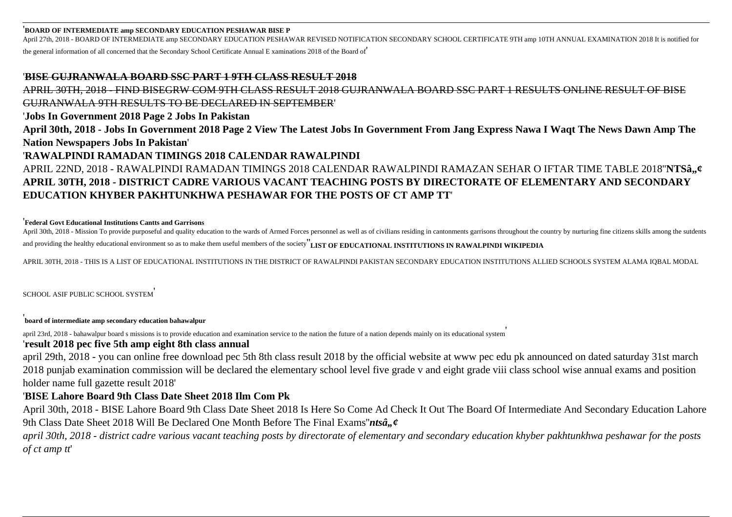### '**BOARD OF INTERMEDIATE amp SECONDARY EDUCATION PESHAWAR BISE P**

April 27th, 2018 - BOARD OF INTERMEDIATE amp SECONDARY EDUCATION PESHAWAR REVISED NOTIFICATION SECONDARY SCHOOL CERTIFICATE 9TH amp 10TH ANNUAL EXAMINATION 2018 It is notified for

the general information of all concerned that the Secondary School Certificate Annual E xaminations 2018 of the Board of'

### '**BISE GUJRANWALA BOARD SSC PART 1 9TH CLASS RESULT 2018**

APRIL 30TH, 2018 - FIND BISEGRW COM 9TH CLASS RESULT 2018 GUJRANWALA BOARD SSC PART 1 RESULTS ONLINE RESULT OF BISE GUJRANWALA 9TH RESULTS TO BE DECLARED IN SEPTEMBER' '**Jobs In Government 2018 Page 2 Jobs In Pakistan April 30th, 2018 - Jobs In Government 2018 Page 2 View The Latest Jobs In Government From Jang Express Nawa I Waqt The News Dawn Amp The Nation Newspapers Jobs In Pakistan**' '**RAWALPINDI RAMADAN TIMINGS 2018 CALENDAR RAWALPINDI** APRIL 22ND, 2018 - RAWALPINDI RAMADAN TIMINGS 2018 CALENDAR RAWALPINDI RAMAZAN SEHAR O IFTAR TIME TABLE 2018"**NTSâ,,¢ APRIL 30TH, 2018 - DISTRICT CADRE VARIOUS VACANT TEACHING POSTS BY DIRECTORATE OF ELEMENTARY AND SECONDARY EDUCATION KHYBER PAKHTUNKHWA PESHAWAR FOR THE POSTS OF CT AMP TT**'

### '**Federal Govt Educational Institutions Cantts and Garrisons**

April 30th, 2018 - Mission To provide purposeful and quality education to the wards of Armed Forces personnel as well as of civilians residing in cantonments garrisons throughout the country by nurturing fine citizens skil and providing the healthy educational environment so as to make them useful members of the society''**LIST OF EDUCATIONAL INSTITUTIONS IN RAWALPINDI WIKIPEDIA**

APRIL 30TH, 2018 - THIS IS A LIST OF EDUCATIONAL INSTITUTIONS IN THE DISTRICT OF RAWALPINDI PAKISTAN SECONDARY EDUCATION INSTITUTIONS ALLIED SCHOOLS SYSTEM ALAMA IQBAL MODAL

SCHOOL ASIF PUBLIC SCHOOL SYSTEM'

'**board of intermediate amp secondary education bahawalpur**

april 23rd, 2018 - bahawalpur board s missions is to provide education and examination service to the nation the future of a nation depends mainly on its educational system'

### '**result 2018 pec five 5th amp eight 8th class annual**

april 29th, 2018 - you can online free download pec 5th 8th class result 2018 by the official website at www pec edu pk announced on dated saturday 31st march 2018 punjab examination commission will be declared the elementary school level five grade v and eight grade viii class school wise annual exams and position holder name full gazette result 2018'

### '**BISE Lahore Board 9th Class Date Sheet 2018 Ilm Com Pk**

April 30th, 2018 - BISE Lahore Board 9th Class Date Sheet 2018 Is Here So Come Ad Check It Out The Board Of Intermediate And Secondary Education Lahore 9th Class Date Sheet 2018 Will Be Declared One Month Before The Final Exams"*ntsâ*, ¢

*april 30th, 2018 - district cadre various vacant teaching posts by directorate of elementary and secondary education khyber pakhtunkhwa peshawar for the posts of ct amp tt*'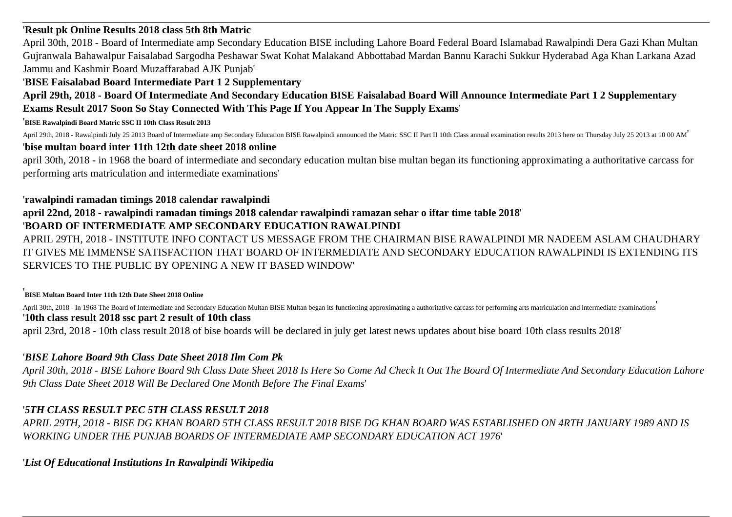## '**Result pk Online Results 2018 class 5th 8th Matric**

April 30th, 2018 - Board of Intermediate amp Secondary Education BISE including Lahore Board Federal Board Islamabad Rawalpindi Dera Gazi Khan Multan Gujranwala Bahawalpur Faisalabad Sargodha Peshawar Swat Kohat Malakand Abbottabad Mardan Bannu Karachi Sukkur Hyderabad Aga Khan Larkana Azad Jammu and Kashmir Board Muzaffarabad AJK Punjab'

## '**BISE Faisalabad Board Intermediate Part 1 2 Supplementary**

**April 29th, 2018 - Board Of Intermediate And Secondary Education BISE Faisalabad Board Will Announce Intermediate Part 1 2 Supplementary Exams Result 2017 Soon So Stay Connected With This Page If You Appear In The Supply Exams**'

### '**BISE Rawalpindi Board Matric SSC II 10th Class Result 2013**

April 29th, 2018 - Rawalpindi July 25 2013 Board of Intermediate amp Secondary Education BISE Rawalpindi announced the Matric SSC II Part II 10th Class annual examination results 2013 here on Thursday July 25 2013 at 10 00

## '**bise multan board inter 11th 12th date sheet 2018 online**

april 30th, 2018 - in 1968 the board of intermediate and secondary education multan bise multan began its functioning approximating a authoritative carcass for performing arts matriculation and intermediate examinations'

### '**rawalpindi ramadan timings 2018 calendar rawalpindi**

## **april 22nd, 2018 - rawalpindi ramadan timings 2018 calendar rawalpindi ramazan sehar o iftar time table 2018**' '**BOARD OF INTERMEDIATE AMP SECONDARY EDUCATION RAWALPINDI**

APRIL 29TH, 2018 - INSTITUTE INFO CONTACT US MESSAGE FROM THE CHAIRMAN BISE RAWALPINDI MR NADEEM ASLAM CHAUDHARY IT GIVES ME IMMENSE SATISFACTION THAT BOARD OF INTERMEDIATE AND SECONDARY EDUCATION RAWALPINDI IS EXTENDING ITS SERVICES TO THE PUBLIC BY OPENING A NEW IT BASED WINDOW'

#### '**BISE Multan Board Inter 11th 12th Date Sheet 2018 Online**

April 30th, 2018 - In 1968 The Board of Intermediate and Secondary Education Multan BISE Multan began its functioning approximating a authoritative carcass for performing arts matriculation and intermediate examinations '**10th class result 2018 ssc part 2 result of 10th class** april 23rd, 2018 - 10th class result 2018 of bise boards will be declared in july get latest news updates about bise board 10th class results 2018'

## '*BISE Lahore Board 9th Class Date Sheet 2018 Ilm Com Pk*

*April 30th, 2018 - BISE Lahore Board 9th Class Date Sheet 2018 Is Here So Come Ad Check It Out The Board Of Intermediate And Secondary Education Lahore 9th Class Date Sheet 2018 Will Be Declared One Month Before The Final Exams*'

## '*5TH CLASS RESULT PEC 5TH CLASS RESULT 2018*

*APRIL 29TH, 2018 - BISE DG KHAN BOARD 5TH CLASS RESULT 2018 BISE DG KHAN BOARD WAS ESTABLISHED ON 4RTH JANUARY 1989 AND IS WORKING UNDER THE PUNJAB BOARDS OF INTERMEDIATE AMP SECONDARY EDUCATION ACT 1976*'

'*List Of Educational Institutions In Rawalpindi Wikipedia*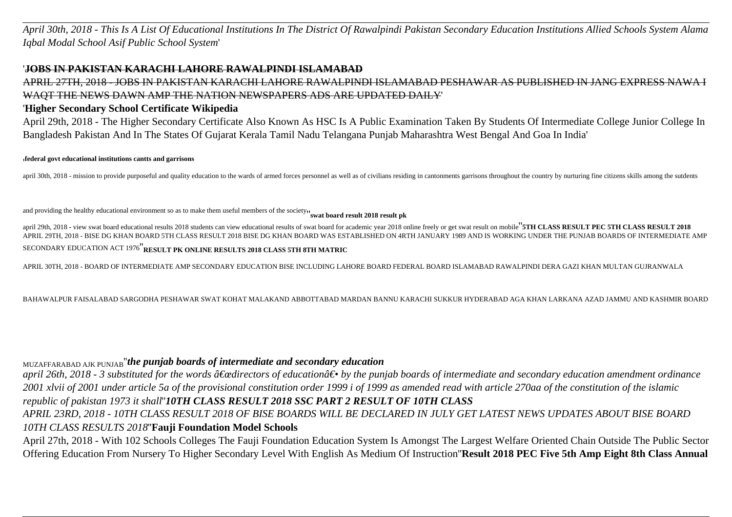*April 30th, 2018 - This Is A List Of Educational Institutions In The District Of Rawalpindi Pakistan Secondary Education Institutions Allied Schools System Alama Iqbal Modal School Asif Public School System*'

### '**JOBS IN PAKISTAN KARACHI LAHORE RAWALPINDI ISLAMABAD**

APRIL 27TH, 2018 - JOBS IN PAKISTAN KARACHI LAHORE RAWALPINDI ISLAMABAD PESHAWAR AS PUBLISHED IN JANG EXPRESS NAWA I WAQT THE NEWS DAWN AMP THE NATION NEWSPAPERS ADS ARE UPDATED DAILY'

### '**Higher Secondary School Certificate Wikipedia**

April 29th, 2018 - The Higher Secondary Certificate Also Known As HSC Is A Public Examination Taken By Students Of Intermediate College Junior College In Bangladesh Pakistan And In The States Of Gujarat Kerala Tamil Nadu Telangana Punjab Maharashtra West Bengal And Goa In India'

### '**federal govt educational institutions cantts and garrisons**

april 30th, 2018 - mission to provide purposeful and quality education to the wards of armed forces personnel as well as of civilians residing in cantonments garrisons throughout the country by nurturing fine citizens skil

and providing the healthy educational environment so as to make them useful members of the society<sub>"</sub> swat board result 2018 result pk

april 29th, 2018 - view swat board educational results 2018 students can view educational results of swat board for academic year 2018 online freely or get swat result on mobile" STH CLASS RESULT PEC 5TH CLASS RESULT 2018 APRIL 29TH, 2018 - BISE DG KHAN BOARD 5TH CLASS RESULT 2018 BISE DG KHAN BOARD WAS ESTABLISHED ON 4RTH JANUARY 1989 AND IS WORKING UNDER THE PUNJAB BOARDS OF INTERMEDIATE AMP SECONDARY EDUCATION ACT 1976''**RESULT PK ONLINE RESULTS 2018 CLASS 5TH 8TH MATRIC**

APRIL 30TH, 2018 - BOARD OF INTERMEDIATE AMP SECONDARY EDUCATION BISE INCLUDING LAHORE BOARD FEDERAL BOARD ISLAMABAD RAWALPINDI DERA GAZI KHAN MULTAN GUJRANWALA

BAHAWALPUR FAISALABAD SARGODHA PESHAWAR SWAT KOHAT MALAKAND ABBOTTABAD MARDAN BANNU KARACHI SUKKUR HYDERABAD AGA KHAN LARKANA AZAD JAMMU AND KASHMIR BOARD

### MUZAFFARABAD AJK PUNJAB''*the punjab boards of intermediate and secondary education*

*april 26th, 2018 - 3 substituted for the words "directors of education― by the punjab boards of intermediate and secondary education amendment ordinance 2001 xlvii of 2001 under article 5a of the provisional constitution order 1999 i of 1999 as amended read with article 270aa of the constitution of the islamic republic of pakistan 1973 it shall*''*10TH CLASS RESULT 2018 SSC PART 2 RESULT OF 10TH CLASS*

*APRIL 23RD, 2018 - 10TH CLASS RESULT 2018 OF BISE BOARDS WILL BE DECLARED IN JULY GET LATEST NEWS UPDATES ABOUT BISE BOARD 10TH CLASS RESULTS 2018*''**Fauji Foundation Model Schools**

April 27th, 2018 - With 102 Schools Colleges The Fauji Foundation Education System Is Amongst The Largest Welfare Oriented Chain Outside The Public Sector Offering Education From Nursery To Higher Secondary Level With English As Medium Of Instruction''**Result 2018 PEC Five 5th Amp Eight 8th Class Annual**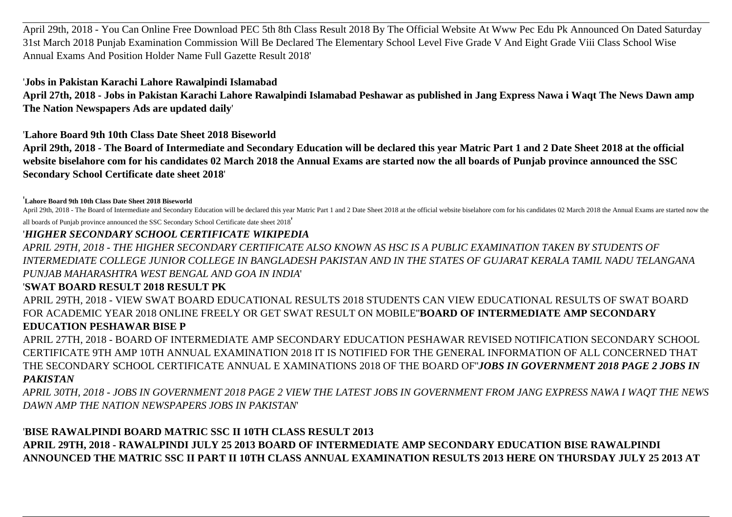April 29th, 2018 - You Can Online Free Download PEC 5th 8th Class Result 2018 By The Official Website At Www Pec Edu Pk Announced On Dated Saturday 31st March 2018 Punjab Examination Commission Will Be Declared The Elementary School Level Five Grade V And Eight Grade Viii Class School Wise Annual Exams And Position Holder Name Full Gazette Result 2018'

'**Jobs in Pakistan Karachi Lahore Rawalpindi Islamabad**

**April 27th, 2018 - Jobs in Pakistan Karachi Lahore Rawalpindi Islamabad Peshawar as published in Jang Express Nawa i Waqt The News Dawn amp The Nation Newspapers Ads are updated daily**'

'**Lahore Board 9th 10th Class Date Sheet 2018 Biseworld**

**April 29th, 2018 - The Board of Intermediate and Secondary Education will be declared this year Matric Part 1 and 2 Date Sheet 2018 at the official website biselahore com for his candidates 02 March 2018 the Annual Exams are started now the all boards of Punjab province announced the SSC Secondary School Certificate date sheet 2018**'

'**Lahore Board 9th 10th Class Date Sheet 2018 Biseworld**

April 29th, 2018 - The Board of Intermediate and Secondary Education will be declared this year Matric Part 1 and 2 Date Sheet 2018 at the official website biselahore com for his candidates 02 March 2018 the Annual Exams a all boards of Punjab province announced the SSC Secondary School Certificate date sheet 2018'

### '*HIGHER SECONDARY SCHOOL CERTIFICATE WIKIPEDIA*

*APRIL 29TH, 2018 - THE HIGHER SECONDARY CERTIFICATE ALSO KNOWN AS HSC IS A PUBLIC EXAMINATION TAKEN BY STUDENTS OF INTERMEDIATE COLLEGE JUNIOR COLLEGE IN BANGLADESH PAKISTAN AND IN THE STATES OF GUJARAT KERALA TAMIL NADU TELANGANA PUNJAB MAHARASHTRA WEST BENGAL AND GOA IN INDIA*'

## '**SWAT BOARD RESULT 2018 RESULT PK**

APRIL 29TH, 2018 - VIEW SWAT BOARD EDUCATIONAL RESULTS 2018 STUDENTS CAN VIEW EDUCATIONAL RESULTS OF SWAT BOARD FOR ACADEMIC YEAR 2018 ONLINE FREELY OR GET SWAT RESULT ON MOBILE''**BOARD OF INTERMEDIATE AMP SECONDARY EDUCATION PESHAWAR BISE P**

APRIL 27TH, 2018 - BOARD OF INTERMEDIATE AMP SECONDARY EDUCATION PESHAWAR REVISED NOTIFICATION SECONDARY SCHOOL CERTIFICATE 9TH AMP 10TH ANNUAL EXAMINATION 2018 IT IS NOTIFIED FOR THE GENERAL INFORMATION OF ALL CONCERNED THAT THE SECONDARY SCHOOL CERTIFICATE ANNUAL E XAMINATIONS 2018 OF THE BOARD OF''*JOBS IN GOVERNMENT 2018 PAGE 2 JOBS IN PAKISTAN*

*APRIL 30TH, 2018 - JOBS IN GOVERNMENT 2018 PAGE 2 VIEW THE LATEST JOBS IN GOVERNMENT FROM JANG EXPRESS NAWA I WAQT THE NEWS DAWN AMP THE NATION NEWSPAPERS JOBS IN PAKISTAN*'

## '**BISE RAWALPINDI BOARD MATRIC SSC II 10TH CLASS RESULT 2013 APRIL 29TH, 2018 - RAWALPINDI JULY 25 2013 BOARD OF INTERMEDIATE AMP SECONDARY EDUCATION BISE RAWALPINDI ANNOUNCED THE MATRIC SSC II PART II 10TH CLASS ANNUAL EXAMINATION RESULTS 2013 HERE ON THURSDAY JULY 25 2013 AT**